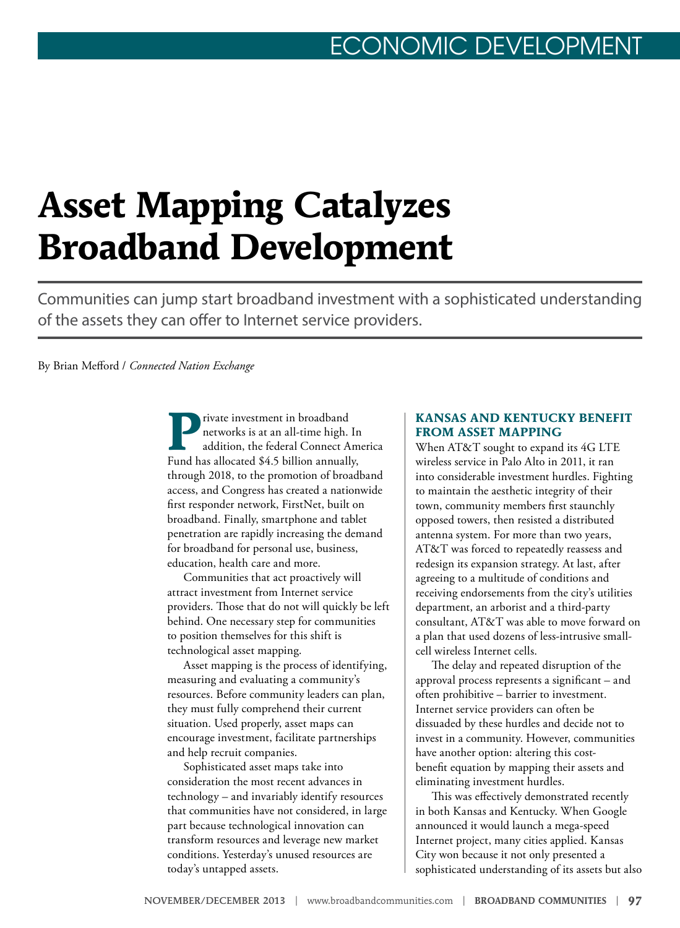### CONOMIC DEVELOPI

# **Asset Mapping Catalyzes Broadband Development**

Communities can jump start broadband investment with a sophisticated understanding of the assets they can offer to Internet service providers.

#### By Brian Mefford / *Connected Nation Exchange*

rivate investment in broadband networks is at an all-time high. In addition, the federal Connect America Fund has allocated \$4.5 billion annually, through 2018, to the promotion of broadband access, and Congress has created a nationwide first responder network, FirstNet, built on broadband. Finally, smartphone and tablet penetration are rapidly increasing the demand for broadband for personal use, business, education, health care and more.

Communities that act proactively will attract investment from Internet service providers. Those that do not will quickly be left behind. One necessary step for communities to position themselves for this shift is technological asset mapping.

Asset mapping is the process of identifying, measuring and evaluating a community's resources. Before community leaders can plan, they must fully comprehend their current situation. Used properly, asset maps can encourage investment, facilitate partnerships and help recruit companies.

Sophisticated asset maps take into consideration the most recent advances in technology – and invariably identify resources that communities have not considered, in large part because technological innovation can transform resources and leverage new market conditions. Yesterday's unused resources are today's untapped assets.

#### **KANSAS AND KENTUCKY BENEFIT FROM ASSET MAPPING**

When AT&T sought to expand its 4G LTE wireless service in Palo Alto in 2011, it ran into considerable investment hurdles. Fighting to maintain the aesthetic integrity of their town, community members first staunchly opposed towers, then resisted a distributed antenna system. For more than two years, AT&T was forced to repeatedly reassess and redesign its expansion strategy. At last, after agreeing to a multitude of conditions and receiving endorsements from the city's utilities department, an arborist and a third-party consultant, AT&T was able to move forward on a plan that used dozens of less-intrusive smallcell wireless Internet cells.

The delay and repeated disruption of the approval process represents a significant – and often prohibitive – barrier to investment. Internet service providers can often be dissuaded by these hurdles and decide not to invest in a community. However, communities have another option: altering this costbenefit equation by mapping their assets and eliminating investment hurdles.

This was effectively demonstrated recently in both Kansas and Kentucky. When Google announced it would launch a mega-speed Internet project, many cities applied. Kansas City won because it not only presented a sophisticated understanding of its assets but also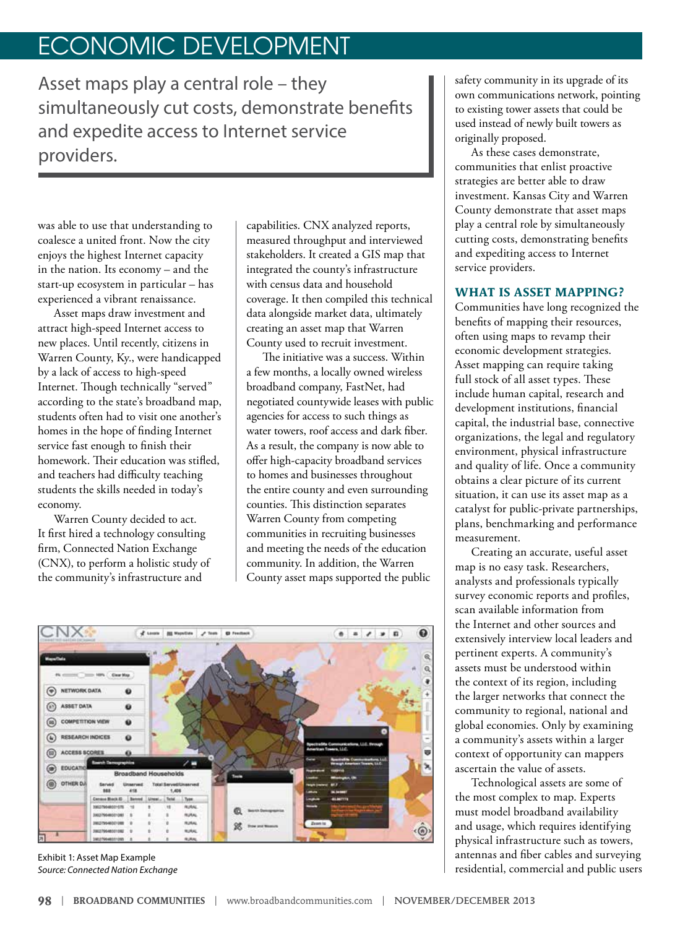## ECONOMIC DEVELOPMENT

Asset maps play a central role – they simultaneously cut costs, demonstrate benefits and expedite access to Internet service providers.

was able to use that understanding to coalesce a united front. Now the city enjoys the highest Internet capacity in the nation. Its economy – and the start-up ecosystem in particular – has experienced a vibrant renaissance.

Asset maps draw investment and attract high-speed Internet access to new places. Until recently, citizens in Warren County, Ky., were handicapped by a lack of access to high-speed Internet. Though technically "served" according to the state's broadband map, students often had to visit one another's homes in the hope of finding Internet service fast enough to finish their homework. Their education was stifled, and teachers had difficulty teaching students the skills needed in today's economy.

Warren County decided to act. It first hired a technology consulting firm, Connected Nation Exchange (CNX), to perform a holistic study of the community's infrastructure and

capabilities. CNX analyzed reports, measured throughput and interviewed stakeholders. It created a GIS map that integrated the county's infrastructure with census data and household coverage. It then compiled this technical data alongside market data, ultimately creating an asset map that Warren County used to recruit investment.

The initiative was a success. Within a few months, a locally owned wireless broadband company, FastNet, had negotiated countywide leases with public agencies for access to such things as water towers, roof access and dark fiber. As a result, the company is now able to offer high-capacity broadband services to homes and businesses throughout the entire county and even surrounding counties. This distinction separates Warren County from competing communities in recruiting businesses and meeting the needs of the education community. In addition, the Warren County asset maps supported the public



Exhibit 1: Asset Map Example *Source: Connected Nation Exchange* 



safety community in its upgrade of its own communications network, pointing to existing tower assets that could be used instead of newly built towers as originally proposed.

As these cases demonstrate, communities that enlist proactive strategies are better able to draw investment. Kansas City and Warren County demonstrate that asset maps play a central role by simultaneously cutting costs, demonstrating benefits and expediting access to Internet service providers.

#### **WHAT IS ASSET MAPPING?**

Communities have long recognized the benefits of mapping their resources, often using maps to revamp their economic development strategies. Asset mapping can require taking full stock of all asset types. These include human capital, research and development institutions, financial capital, the industrial base, connective organizations, the legal and regulatory environment, physical infrastructure and quality of life. Once a community obtains a clear picture of its current situation, it can use its asset map as a catalyst for public-private partnerships, plans, benchmarking and performance measurement.

Creating an accurate, useful asset map is no easy task. Researchers, analysts and professionals typically survey economic reports and profiles, scan available information from the Internet and other sources and extensively interview local leaders and pertinent experts. A community's assets must be understood within the context of its region, including the larger networks that connect the community to regional, national and global economies. Only by examining a community's assets within a larger context of opportunity can mappers ascertain the value of assets.

Technological assets are some of the most complex to map. Experts must model broadband availability and usage, which requires identifying physical infrastructure such as towers, antennas and fiber cables and surveying residential, commercial and public users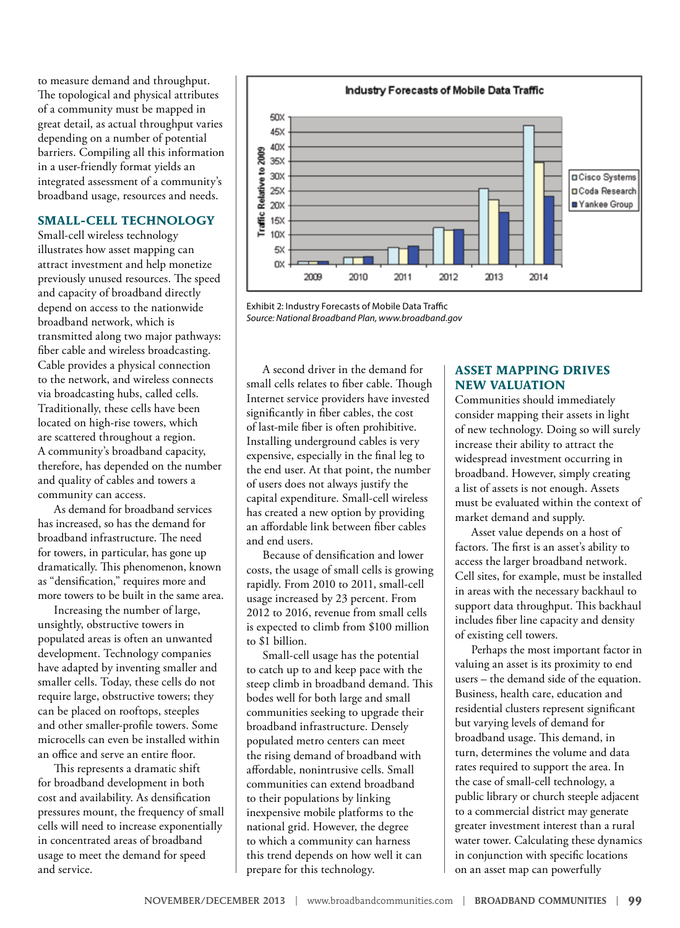to measure demand and throughput. The topological and physical attributes of a community must be mapped in great detail, as actual throughput varies depending on a number of potential barriers. Compiling all this information in a user-friendly format yields an integrated assessment of a community's broadband usage, resources and needs.

#### **SMALL-CELL TECHNOLOGY**

Small-cell wireless technology illustrates how asset mapping can attract investment and help monetize previously unused resources. The speed and capacity of broadband directly depend on access to the nationwide broadband network, which is transmitted along two major pathways: fiber cable and wireless broadcasting. Cable provides a physical connection to the network, and wireless connects via broadcasting hubs, called cells. Traditionally, these cells have been located on high-rise towers, which are scattered throughout a region. A community's broadband capacity, therefore, has depended on the number and quality of cables and towers a community can access.

As demand for broadband services has increased, so has the demand for broadband infrastructure. The need for towers, in particular, has gone up dramatically. This phenomenon, known as "densification," requires more and more towers to be built in the same area.

Increasing the number of large, unsightly, obstructive towers in populated areas is often an unwanted development. Technology companies have adapted by inventing smaller and smaller cells. Today, these cells do not require large, obstructive towers; they can be placed on rooftops, steeples and other smaller-profile towers. Some microcells can even be installed within an office and serve an entire floor.

This represents a dramatic shift for broadband development in both cost and availability. As densification pressures mount, the frequency of small cells will need to increase exponentially in concentrated areas of broadband usage to meet the demand for speed and service.



Exhibit 2: Industry Forecasts of Mobile Data Traffic *Source: National Broadband Plan, www.broadband.gov*

A second driver in the demand for small cells relates to fiber cable. Though Internet service providers have invested significantly in fiber cables, the cost of last-mile fiber is often prohibitive. Installing underground cables is very expensive, especially in the final leg to the end user. At that point, the number of users does not always justify the capital expenditure. Small-cell wireless has created a new option by providing an affordable link between fiber cables and end users.

Because of densification and lower costs, the usage of small cells is growing rapidly. From 2010 to 2011, small-cell usage increased by 23 percent. From 2012 to 2016, revenue from small cells is expected to climb from \$100 million to \$1 billion.

Small-cell usage has the potential to catch up to and keep pace with the steep climb in broadband demand. This bodes well for both large and small communities seeking to upgrade their broadband infrastructure. Densely populated metro centers can meet the rising demand of broadband with affordable, nonintrusive cells. Small communities can extend broadband to their populations by linking inexpensive mobile platforms to the national grid. However, the degree to which a community can harness this trend depends on how well it can prepare for this technology.

#### **ASSET MAPPING DRIVES NEW VALUATION**

Communities should immediately consider mapping their assets in light of new technology. Doing so will surely increase their ability to attract the widespread investment occurring in broadband. However, simply creating a list of assets is not enough. Assets must be evaluated within the context of market demand and supply.

Asset value depends on a host of factors. The first is an asset's ability to access the larger broadband network. Cell sites, for example, must be installed in areas with the necessary backhaul to support data throughput. This backhaul includes fiber line capacity and density of existing cell towers.

Perhaps the most important factor in valuing an asset is its proximity to end users – the demand side of the equation. Business, health care, education and residential clusters represent significant but varying levels of demand for broadband usage. This demand, in turn, determines the volume and data rates required to support the area. In the case of small-cell technology, a public library or church steeple adjacent to a commercial district may generate greater investment interest than a rural water tower. Calculating these dynamics in conjunction with specific locations on an asset map can powerfully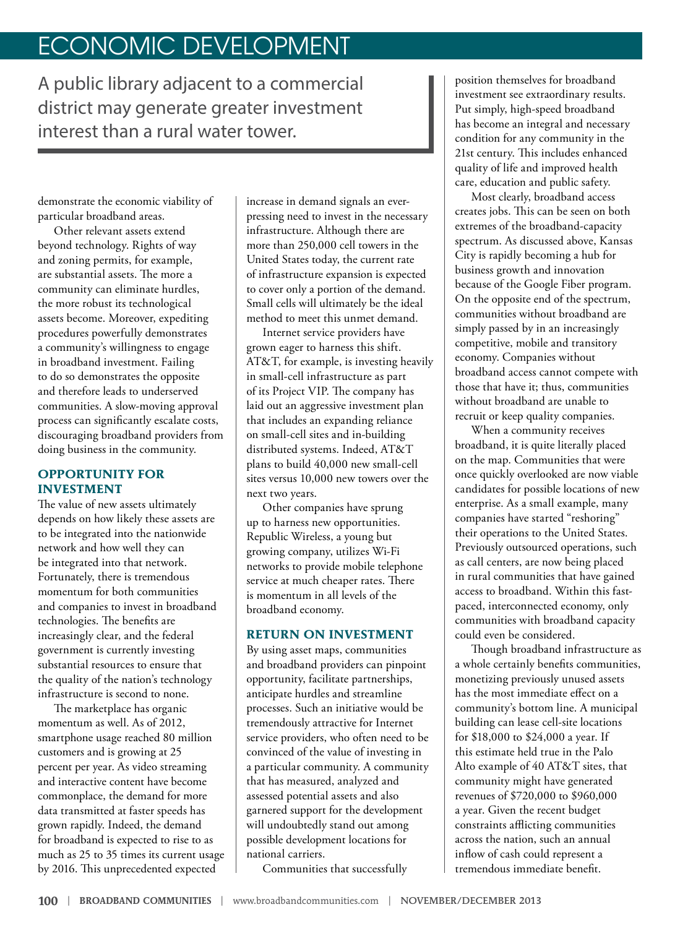### ECONOMIC DEVELOPMENT

A public library adjacent to a commercial district may generate greater investment interest than a rural water tower.

demonstrate the economic viability of particular broadband areas.

Other relevant assets extend beyond technology. Rights of way and zoning permits, for example, are substantial assets. The more a community can eliminate hurdles, the more robust its technological assets become. Moreover, expediting procedures powerfully demonstrates a community's willingness to engage in broadband investment. Failing to do so demonstrates the opposite and therefore leads to underserved communities. A slow-moving approval process can significantly escalate costs, discouraging broadband providers from doing business in the community.

#### **OPPORTUNITY FOR INVESTMENT**

The value of new assets ultimately depends on how likely these assets are to be integrated into the nationwide network and how well they can be integrated into that network. Fortunately, there is tremendous momentum for both communities and companies to invest in broadband technologies. The benefits are increasingly clear, and the federal government is currently investing substantial resources to ensure that the quality of the nation's technology infrastructure is second to none.

The marketplace has organic momentum as well. As of 2012, smartphone usage reached 80 million customers and is growing at 25 percent per year. As video streaming and interactive content have become commonplace, the demand for more data transmitted at faster speeds has grown rapidly. Indeed, the demand for broadband is expected to rise to as much as 25 to 35 times its current usage by 2016. This unprecedented expected

increase in demand signals an everpressing need to invest in the necessary infrastructure. Although there are more than 250,000 cell towers in the United States today, the current rate of infrastructure expansion is expected to cover only a portion of the demand. Small cells will ultimately be the ideal method to meet this unmet demand.

Internet service providers have grown eager to harness this shift. AT&T, for example, is investing heavily in small-cell infrastructure as part of its Project VIP. The company has laid out an aggressive investment plan that includes an expanding reliance on small-cell sites and in-building distributed systems. Indeed, AT&T plans to build 40,000 new small-cell sites versus 10,000 new towers over the next two years.

Other companies have sprung up to harness new opportunities. Republic Wireless, a young but growing company, utilizes Wi-Fi networks to provide mobile telephone service at much cheaper rates. There is momentum in all levels of the broadband economy.

#### **RETURN ON INVESTMENT**

By using asset maps, communities and broadband providers can pinpoint opportunity, facilitate partnerships, anticipate hurdles and streamline processes. Such an initiative would be tremendously attractive for Internet service providers, who often need to be convinced of the value of investing in a particular community. A community that has measured, analyzed and assessed potential assets and also garnered support for the development will undoubtedly stand out among possible development locations for national carriers.

Communities that successfully

position themselves for broadband investment see extraordinary results. Put simply, high-speed broadband has become an integral and necessary condition for any community in the 21st century. This includes enhanced quality of life and improved health care, education and public safety.

Most clearly, broadband access creates jobs. This can be seen on both extremes of the broadband-capacity spectrum. As discussed above, Kansas City is rapidly becoming a hub for business growth and innovation because of the Google Fiber program. On the opposite end of the spectrum, communities without broadband are simply passed by in an increasingly competitive, mobile and transitory economy. Companies without broadband access cannot compete with those that have it; thus, communities without broadband are unable to recruit or keep quality companies.

When a community receives broadband, it is quite literally placed on the map. Communities that were once quickly overlooked are now viable candidates for possible locations of new enterprise. As a small example, many companies have started "reshoring" their operations to the United States. Previously outsourced operations, such as call centers, are now being placed in rural communities that have gained access to broadband. Within this fastpaced, interconnected economy, only communities with broadband capacity could even be considered.

Though broadband infrastructure as a whole certainly benefits communities, monetizing previously unused assets has the most immediate effect on a community's bottom line. A municipal building can lease cell-site locations for \$18,000 to \$24,000 a year. If this estimate held true in the Palo Alto example of 40 AT&T sites, that community might have generated revenues of \$720,000 to \$960,000 a year. Given the recent budget constraints afflicting communities across the nation, such an annual inflow of cash could represent a tremendous immediate benefit.